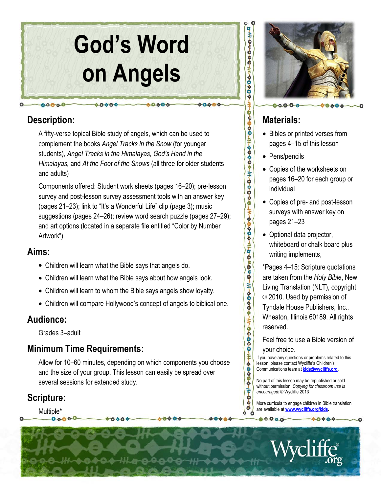

# Description:

 $00000$ 

A fifty-verse topical Bible study of angels, which can be used to complement the books Angel Tracks in the Snow (for younger students), Angel Tracks in the Himalayas, God's Hand in the Himalayas, and At the Foot of the Snows (all three for older students and adults)

Components offered: Student work sheets (pages 16–20); pre-lesson survey and post-lesson survey assessment tools with an answer key (pages 21–23); link to "It's a Wonderful Life" clip (page 3); music suggestions (pages 24–26); review word search puzzle (pages 27–29); and art options (located in a separate file entitled "Color by Number Artwork")

## Aims:

- Children will learn what the Bible says that angels do.
- Children will learn what the Bible says about how angels look.
- Children will learn to whom the Bible says angels show loyalty.
- Children will compare Hollywood's concept of angels to biblical one.

# Audience:

Grades 3–adult

# Minimum Time Requirements:

Allow for 10–60 minutes, depending on which components you choose and the size of your group. This lesson can easily be spread over several sessions for extended study.

# Scripture:

Multiple\*



# Materials:

- Bibles or printed verses from pages 4–15 of this lesson
- Pens/pencils

HOOOOF#000#+00000#+0000+#00000+#0000+#0000+#0000+#0000+#0000+#0000+#0000+#0000+#0000+#0000+#0000+#000

- Copies of the worksheets on pages 16–20 for each group or individual
- Copies of pre- and post-lesson surveys with answer key on pages 21–23
- Optional data projector, whiteboard or chalk board plus writing implements,

\*Pages 4–15: Scripture quotations are taken from the Holy Bible, New Living Translation (NLT), copyright © 2010. Used by permission of Tyndale House Publishers, Inc., Wheaton, Illinois 60189. All rights reserved.

Feel free to use a Bible version of your choice.

If you have any questions or problems related to this lesson, please contact Wycliffe's Children's Communications team at kids@wycliffe.org.

No part of this lesson may be republished or sold without permission. Copying for classroom use is encouraged! © Wycliffe 2013

More curricula to engage children in Bible translation are available at www.wycliffe.org/kids.

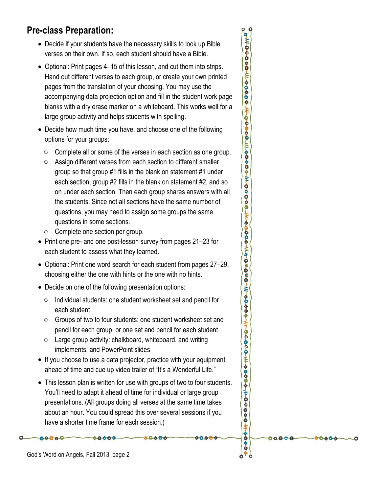# Pre-class Preparation:

- Decide if your students have the necessary skills to look up Bible verses on their own. If so, each student should have a Bible.
- Optional: Print pages 4–15 of this lesson, and cut them into strips. Hand out different verses to each group, or create your own printed pages from the translation of your choosing. You may use the accompanying data projection option and fill in the student work page blanks with a dry erase marker on a whiteboard. This works well for a large group activity and helps students with spelling.
- Decide how much time you have, and choose one of the following options for your groups:
	- o Complete all or some of the verses in each section as one group.
	- o Assign different verses from each section to different smaller group so that group #1 fills in the blank on statement #1 under each section, group #2 fills in the blank on statement #2, and so on under each section. Then each group shares answers with all the students. Since not all sections have the same number of questions, you may need to assign some groups the same questions in some sections.
	- o Complete one section per group.
- Print one pre- and one post-lesson survey from pages 21–23 for each student to assess what they learned.
- Optional: Print one word search for each student from pages 27–29, choosing either the one with hints or the one with no hints.
- Decide on one of the following presentation options:
	- o Individual students: one student worksheet set and pencil for each student
	- o Groups of two to four students: one student worksheet set and pencil for each group, or one set and pencil for each student
	- $\circ$  Large group activity: chalkboard, whiteboard, and writing implements, and PowerPoint slides
- If you choose to use a data projector, practice with your equipment ahead of time and cue up video trailer of "It's a Wonderful Life."
- This lesson plan is written for use with groups of two to four students. You'll need to adapt it ahead of time for individual or large group presentations. (All groups doing all verses at the same time takes about an hour. You could spread this over several sessions if you have a shorter time frame for each session.)

8080

80000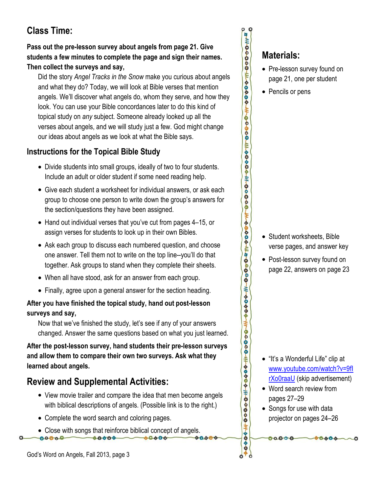# Class Time:

#### Pass out the pre-lesson survey about angels from page 21. Give students a few minutes to complete the page and sign their names. Then collect the surveys and say,

Did the story Angel Tracks in the Snow make you curious about angels and what they do? Today, we will look at Bible verses that mention angels. We'll discover what angels do, whom they serve, and how they look. You can use your Bible concordances later to do this kind of topical study on any subject. Someone already looked up all the verses about angels, and we will study just a few. God might change our ideas about angels as we look at what the Bible says.

## Instructions for the Topical Bible Study

- Divide students into small groups, ideally of two to four students. Include an adult or older student if some need reading help.
- Give each student a worksheet for individual answers, or ask each group to choose one person to write down the group's answers for the section/questions they have been assigned.
- Hand out individual verses that you've cut from pages 4–15, or assign verses for students to look up in their own Bibles.
- Ask each group to discuss each numbered question, and choose one answer. Tell them not to write on the top line--you'll do that together. Ask groups to stand when they complete their sheets.
- When all have stood, ask for an answer from each group.
- Finally, agree upon a general answer for the section heading.

#### After you have finished the topical study, hand out post-lesson surveys and say,

Now that we've finished the study, let's see if any of your answers changed. Answer the same questions based on what you just learned.

After the post-lesson survey, hand students their pre-lesson surveys and allow them to compare their own two surveys. Ask what they learned about angels.

# Review and Supplemental Activities:

- View movie trailer and compare the idea that men become angels with biblical descriptions of angels. (Possible link is to the right.)
- Complete the word search and coloring pages.
- Close with songs that reinforce biblical concept of angels.  $00000$ 40004 8080

# Materials:

- Pre-lesson survey found on page 21, one per student
- Pencils or pens

• Student worksheets, Bible verse pages, and answer key

• Post-lesson survey found on page 22, answers on page 23

- "It's a Wonderful Life" clip at www.youtube.com/watch?v=9fI rXo0raaU (skip advertisement)
- Word search review from pages 27–29
- Songs for use with data projector on pages 24–26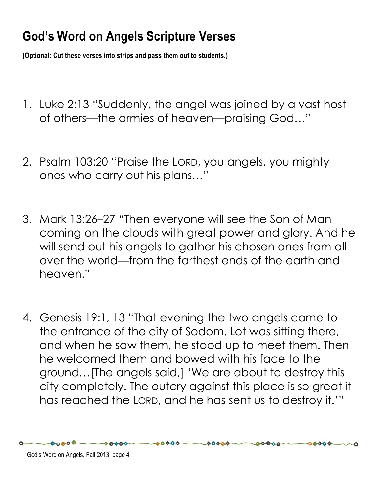# God's Word on Angels Scripture Verses

(Optional: Cut these verses into strips and pass them out to students.)

- 1. Luke 2:13 "Suddenly, the angel was joined by a vast host of others—the armies of heaven—praising God…"
- 2. Psalm 103:20 "Praise the LORD, you angels, you mighty ones who carry out his plans…"
- 3. Mark 13:26–27 "Then everyone will see the Son of Man coming on the clouds with great power and glory. And he will send out his angels to gather his chosen ones from all over the world—from the farthest ends of the earth and heaven."
- 4. Genesis 19:1, 13 "That evening the two angels came to the entrance of the city of Sodom. Lot was sitting there, and when he saw them, he stood up to meet them. Then he welcomed them and bowed with his face to the ground…[The angels said,] 'We are about to destroy this city completely. The outcry against this place is so great it has reached the LORD, and he has sent us to destroy it.'"

 $00000$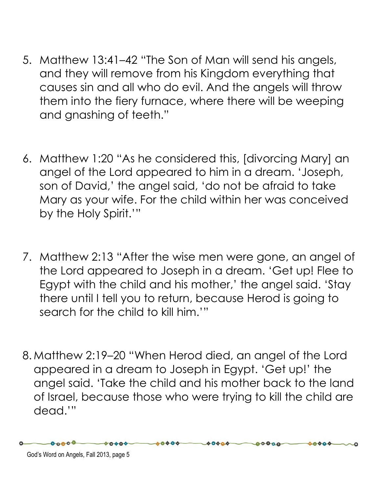- 5. Matthew 13:41–42 "The Son of Man will send his angels, and they will remove from his Kingdom everything that causes sin and all who do evil. And the angels will throw them into the fiery furnace, where there will be weeping and gnashing of teeth."
- 6. Matthew 1:20 "As he considered this, [divorcing Mary] an angel of the Lord appeared to him in a dream. 'Joseph, son of David,' the angel said, 'do not be afraid to take Mary as your wife. For the child within her was conceived by the Holy Spirit.'"
- 7. Matthew 2:13 "After the wise men were gone, an angel of the Lord appeared to Joseph in a dream. 'Get up! Flee to Egypt with the child and his mother,' the angel said. 'Stay there until I tell you to return, because Herod is going to search for the child to kill him.'"
- 8. Matthew 2:19–20 "When Herod died, an angel of the Lord appeared in a dream to Joseph in Egypt. 'Get up!' the angel said. 'Take the child and his mother back to the land of Israel, because those who were trying to kill the child are dead.'"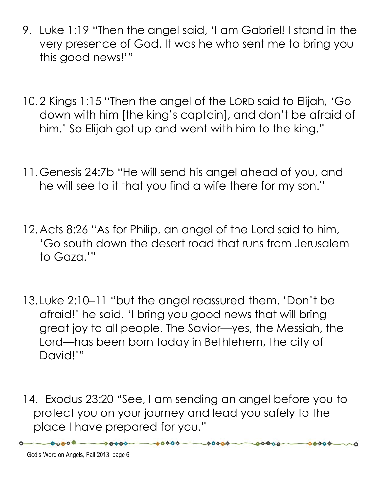- 9. Luke 1:19 "Then the angel said, 'I am Gabriel! I stand in the very presence of God. It was he who sent me to bring you this good news!'"
- 10.2 Kings 1:15 "Then the angel of the LORD said to Elijah, 'Go down with him [the king's captain], and don't be afraid of him.' So Elijah got up and went with him to the king."
- 11.Genesis 24:7b "He will send his angel ahead of you, and he will see to it that you find a wife there for my son."
- 12.Acts 8:26 "As for Philip, an angel of the Lord said to him, 'Go south down the desert road that runs from Jerusalem to Gaza.'"
- 13. Luke 2:10–11 "but the angel reassured them. 'Don't be afraid!' he said. 'I bring you good news that will bring great joy to all people. The Savior—yes, the Messiah, the Lord—has been born today in Bethlehem, the city of David!'"
- 14. Exodus 23:20 "See, I am sending an angel before you to protect you on your journey and lead you safely to the place I have prepared for you."

 $00000$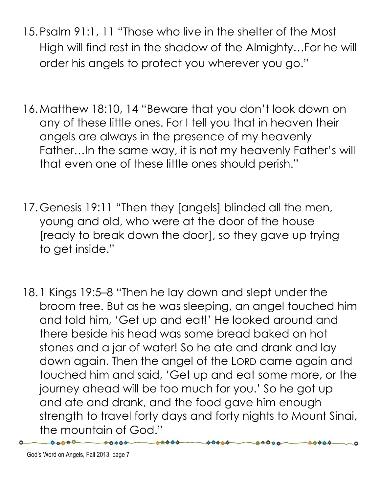- 15.Psalm 91:1, 11 "Those who live in the shelter of the Most High will find rest in the shadow of the Almighty…For he will order his angels to protect you wherever you go."
- 16.Matthew 18:10, 14 "Beware that you don't look down on any of these little ones. For I tell you that in heaven their angels are always in the presence of my heavenly Father…In the same way, it is not my heavenly Father's will that even one of these little ones should perish."
- 17.Genesis 19:11 "Then they [angels] blinded all the men, young and old, who were at the door of the house [ready to break down the door], so they gave up trying to get inside."
- 18.1 Kings 19:5–8 "Then he lay down and slept under the broom tree. But as he was sleeping, an angel touched him and told him, 'Get up and eat!' He looked around and there beside his head was some bread baked on hot stones and a jar of water! So he ate and drank and lay down again. Then the angel of the LORD came again and touched him and said, 'Get up and eat some more, or the journey ahead will be too much for you.' So he got up and ate and drank, and the food gave him enough strength to travel forty days and forty nights to Mount Sinai, the mountain of God."

00000

60000

 $0.0800 -$ 

 $-00000$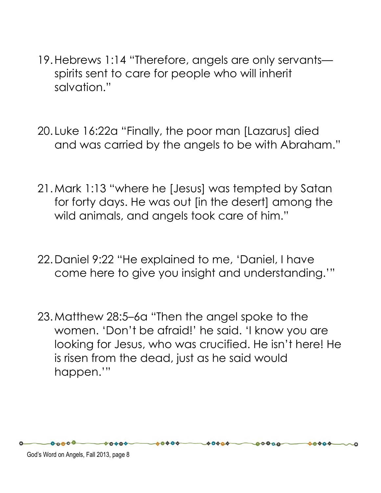- 19.Hebrews 1:14 "Therefore, angels are only servants spirits sent to care for people who will inherit salvation."
- 20. Luke 16:22a "Finally, the poor man [Lazarus] died and was carried by the angels to be with Abraham."
- 21.Mark 1:13 "where he [Jesus] was tempted by Satan for forty days. He was out [in the desert] among the wild animals, and angels took care of him."
- 22.Daniel 9:22 "He explained to me, 'Daniel, I have come here to give you insight and understanding.'"
- 23.Matthew 28:5–6a "Then the angel spoke to the women. 'Don't be afraid!' he said. 'I know you are looking for Jesus, who was crucified. He isn't here! He is risen from the dead, just as he said would happen.'"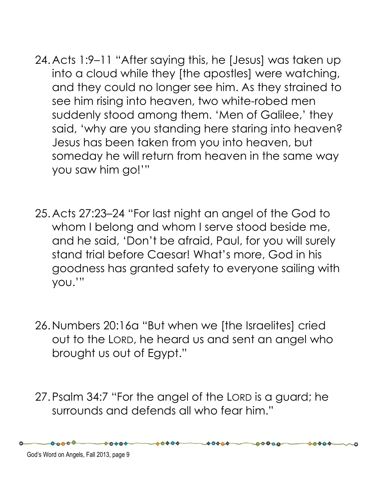- 24.Acts 1:9–11 "After saying this, he [Jesus] was taken up into a cloud while they [the apostles] were watching, and they could no longer see him. As they strained to see him rising into heaven, two white-robed men suddenly stood among them. 'Men of Galilee,' they said, 'why are you standing here staring into heaven? Jesus has been taken from you into heaven, but someday he will return from heaven in the same way you saw him go!'"
- 25.Acts 27:23–24 "For last night an angel of the God to whom I belong and whom I serve stood beside me, and he said, 'Don't be afraid, Paul, for you will surely stand trial before Caesar! What's more, God in his goodness has granted safety to everyone sailing with you.'"
- 26.Numbers 20:16a "But when we [the Israelites] cried out to the LORD, he heard us and sent an angel who brought us out of Egypt."
- 27.Psalm 34:7 "For the angel of the LORD is a guard; he surrounds and defends all who fear him."

God's Word on Angels, Fall 2013, page 9

 $00000$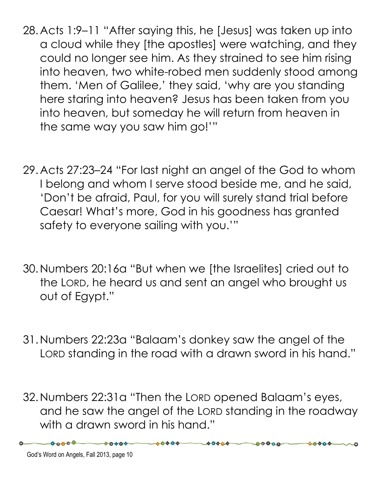- 28.Acts 1:9–11 "After saying this, he [Jesus] was taken up into a cloud while they [the apostles] were watching, and they could no longer see him. As they strained to see him rising into heaven, two white-robed men suddenly stood among them. 'Men of Galilee,' they said, 'why are you standing here staring into heaven? Jesus has been taken from you into heaven, but someday he will return from heaven in the same way you saw him go!'"
- 29.Acts 27:23–24 "For last night an angel of the God to whom I belong and whom I serve stood beside me, and he said, 'Don't be afraid, Paul, for you will surely stand trial before Caesar! What's more, God in his goodness has granted safety to everyone sailing with you.'"
- 30.Numbers 20:16a "But when we [the Israelites] cried out to the LORD, he heard us and sent an angel who brought us out of Egypt."
- 31.Numbers 22:23a "Balaam's donkey saw the angel of the LORD standing in the road with a drawn sword in his hand."
- 32.Numbers 22:31a "Then the LORD opened Balaam's eyes, and he saw the angel of the LORD standing in the roadway with a drawn sword in his hand."

 $00000$ 

 $00000 -$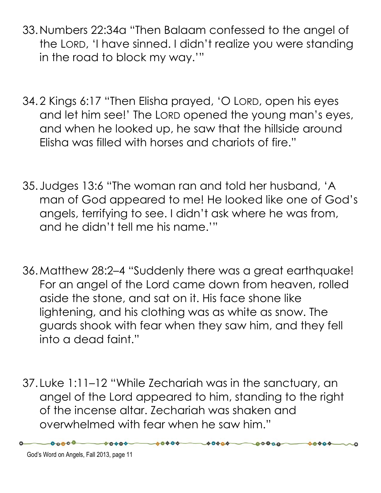- 33.Numbers 22:34a "Then Balaam confessed to the angel of the LORD, 'I have sinned. I didn't realize you were standing in the road to block my way.'"
- 34.2 Kings 6:17 "Then Elisha prayed, 'O LORD, open his eyes and let him see!' The LORD opened the young man's eyes, and when he looked up, he saw that the hillside around Elisha was filled with horses and chariots of fire."
- 35. Judges 13:6 "The woman ran and told her husband, 'A man of God appeared to me! He looked like one of God's angels, terrifying to see. I didn't ask where he was from, and he didn't tell me his name.'"
- 36.Matthew 28:2–4 "Suddenly there was a great earthquake! For an angel of the Lord came down from heaven, rolled aside the stone, and sat on it. His face shone like lightening, and his clothing was as white as snow. The guards shook with fear when they saw him, and they fell into a dead faint."
- 37. Luke 1:11–12 "While Zechariah was in the sanctuary, an angel of the Lord appeared to him, standing to the right of the incense altar. Zechariah was shaken and overwhelmed with fear when he saw him."

 $AAAA$ 

 $00000$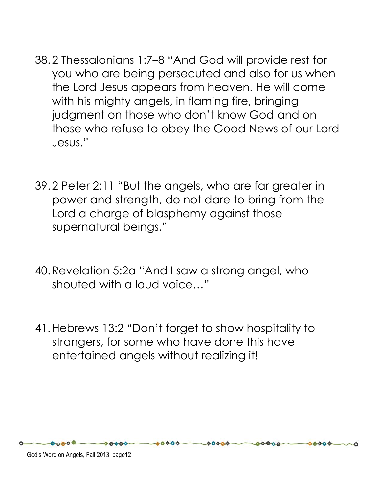- 38.2 Thessalonians 1:7–8 "And God will provide rest for you who are being persecuted and also for us when the Lord Jesus appears from heaven. He will come with his mighty angels, in flaming fire, bringing judgment on those who don't know God and on those who refuse to obey the Good News of our Lord Jesus."
- 39.2 Peter 2:11 "But the angels, who are far greater in power and strength, do not dare to bring from the Lord a charge of blasphemy against those supernatural beings."
- 40.Revelation 5:2a "And I saw a strong angel, who shouted with a loud voice…"
- 41.Hebrews 13:2 "Don't forget to show hospitality to strangers, for some who have done this have entertained angels without realizing it!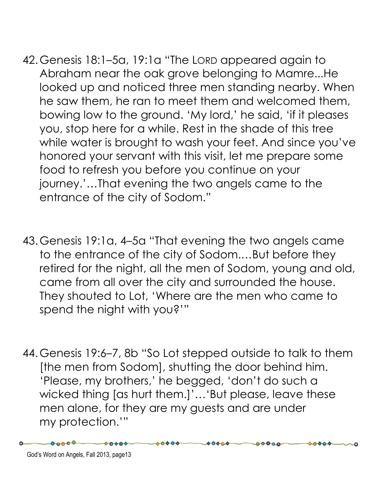- 42.Genesis 18:1–5a, 19:1a "The LORD appeared again to Abraham near the oak grove belonging to Mamre...He looked up and noticed three men standing nearby. When he saw them, he ran to meet them and welcomed them, bowing low to the ground. 'My lord,' he said, 'if it pleases you, stop here for a while. Rest in the shade of this tree while water is brought to wash your feet. And since you've honored your servant with this visit, let me prepare some food to refresh you before you continue on your journey.'…That evening the two angels came to the entrance of the city of Sodom."
- 43.Genesis 19:1a, 4–5a "That evening the two angels came to the entrance of the city of Sodom.…But before they retired for the night, all the men of Sodom, young and old, came from all over the city and surrounded the house. They shouted to Lot, 'Where are the men who came to spend the night with you?'"
- 44.Genesis 19:6–7, 8b "So Lot stepped outside to talk to them [the men from Sodom], shutting the door behind him. 'Please, my brothers,' he begged, 'don't do such a wicked thing [as hurt them.]'…'But please, leave these men alone, for they are my guests and are under my protection.'"

 $00000 -$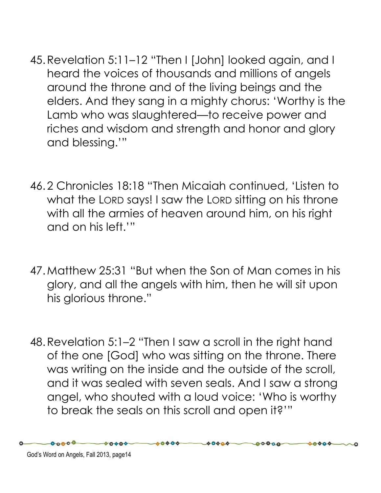- 45.Revelation 5:11–12 "Then I [John] looked again, and I heard the voices of thousands and millions of angels around the throne and of the living beings and the elders. And they sang in a mighty chorus: 'Worthy is the Lamb who was slaughtered—to receive power and riches and wisdom and strength and honor and glory and blessing.'"
- 46.2 Chronicles 18:18 "Then Micaiah continued, 'Listen to what the LORD says! I saw the LORD sitting on his throne with all the armies of heaven around him, on his right and on his left.'"
- 47.Matthew 25:31 "But when the Son of Man comes in his glory, and all the angels with him, then he will sit upon his glorious throne."
- 48.Revelation 5:1–2 "Then I saw a scroll in the right hand of the one [God] who was sitting on the throne. There was writing on the inside and the outside of the scroll, and it was sealed with seven seals. And I saw a strong angel, who shouted with a loud voice: 'Who is worthy to break the seals on this scroll and open it?'"

 $0.000$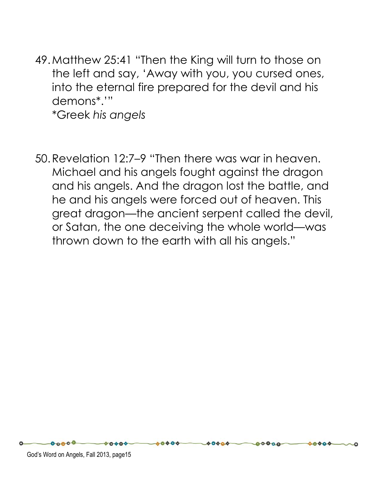49.Matthew 25:41 "Then the King will turn to those on the left and say, 'Away with you, you cursed ones, into the eternal fire prepared for the devil and his demons\*.'"

\*Greek his angels

50.Revelation 12:7–9 "Then there was war in heaven. Michael and his angels fought against the dragon and his angels. And the dragon lost the battle, and he and his angels were forced out of heaven. This great dragon—the ancient serpent called the devil, or Satan, the one deceiving the whole world—was thrown down to the earth with all his angels."

 $00000$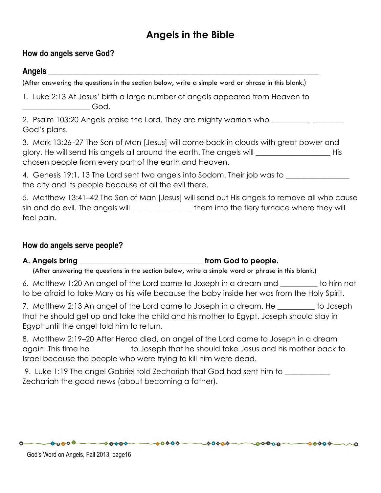# Angels in the Bible

#### How do angels serve God?

#### Angels \_\_\_\_\_\_\_\_\_\_\_\_\_\_\_\_\_\_\_\_\_\_\_\_\_\_\_\_\_\_\_\_\_\_\_\_\_\_\_\_\_\_\_\_\_\_\_\_\_\_\_\_\_\_\_\_\_\_\_\_\_\_\_\_\_\_\_\_

(After answering the questions in the section below, write a simple word or phrase in this blank.)

1. Luke 2:13 At Jesus' birth a large number of angels appeared from Heaven to  $\Box$  God.

2. Psalm 103:20 Angels praise the Lord. They are mighty warriors who \_\_\_\_\_\_\_\_\_\_\_ God's plans.

3. Mark 13:26–27 The Son of Man [Jesus] will come back in clouds with great power and glory. He will send His angels all around the earth. The angels will \_\_\_\_\_\_\_\_\_\_\_\_\_\_\_\_\_\_\_\_ His chosen people from every part of the earth and Heaven.

4. Genesis 19:1, 13 The Lord sent two angels into Sodom. Their job was to the city and its people because of all the evil there.

5. Matthew 13:41–42 The Son of Man [Jesus] will send out His angels to remove all who cause sin and do evil. The angels will **Example 20** them into the fiery furnace where they will feel pain.

#### How do angels serve people?

#### A. Angels bring **A.** Angels bring **A.** Angels bring **A.** Angels bring **A.** Angels bring **A.** Angels **A.** Angels **A.** Angels **A.** Angels **A.** Angels **A.** Angels **A.** Angels **A.** Angels **A.** Angels **A.** Angels **A.** Angels **A**

(After answering the questions in the section below, write a simple word or phrase in this blank.)

6. Matthew 1:20 An angel of the Lord came to Joseph in a dream and \_\_\_\_\_\_\_\_\_\_ to him not to be afraid to take Mary as his wife because the baby inside her was from the Holy Spirit.

7. Matthew 2:13 An angel of the Lord came to Joseph in a dream. He \_\_\_\_\_\_\_\_ to Joseph that he should get up and take the child and his mother to Egypt. Joseph should stay in Egypt until the angel told him to return.

8. Matthew 2:19–20 After Herod died, an angel of the Lord came to Joseph in a dream again. This time he \_\_\_\_\_\_\_\_\_\_ to Joseph that he should take Jesus and his mother back to Israel because the people who were trying to kill him were dead.

 $-00000 - 00000 - 00000 - 00000 - 00000 - 00000$ 

9. Luke 1:19 The angel Gabriel told Zechariah that God had sent him to \_\_\_\_\_\_\_\_\_ Zechariah the good news (about becoming a father).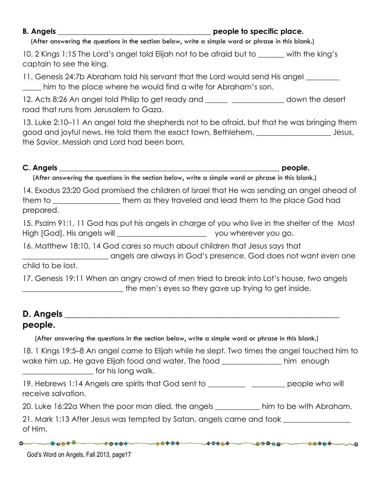B. Angels **B.** Angels **B.** Angels

(After answering the questions in the section below, write a simple word or phrase in this blank.)

10. 2 Kings 1:15 The Lord's angel told Elijah not to be afraid but to \_\_\_\_\_\_\_ with the king's captain to see the king.

11. Genesis 24:7b Abraham told his servant that the Lord would send His angel \_\_\_\_\_ him to the place where he would find a wife for Abraham's son.

12. Acts 8:26 An angel told Philip to get ready and \_\_\_\_\_\_ \_\_\_\_\_\_\_\_\_\_\_\_\_\_ down the desert road that runs from Jerusalem to Gaza.

13. Luke 2:10–11 An angel told the shepherds not to be afraid, but that he was bringing them good and joyful news. He told them the exact town, Bethlehem, \_\_\_\_\_\_\_\_\_\_\_\_\_\_\_\_\_\_\_\_ Jesus, the Savior, Messiah and Lord had been born.

C. Angels \_\_\_\_\_\_\_\_\_\_\_\_\_\_\_\_\_\_\_\_\_\_\_\_\_\_\_\_\_\_\_\_\_\_\_\_\_\_\_\_\_\_\_\_\_\_\_\_\_\_\_\_\_\_\_\_\_\_\_ people.

(After answering the questions in the section below, write a simple word or phrase in this blank.)

14. Exodus 23:20 God promised the children of Israel that He was sending an angel ahead of them to \_\_\_\_\_\_\_\_\_\_\_\_\_\_\_\_\_\_\_\_\_\_them as they traveled and lead them to the place God had prepared.

15. Psalm 91:1, 11 God has put his angels in charge of you who live in the shelter of the Most High [God]. His angels will \_\_\_\_\_\_\_\_\_\_\_\_\_\_\_\_\_\_\_\_\_\_\_\_\_\_\_\_\_\_\_ you wherever you go.

16. Matthew 18:10, 14 God cares so much about children that Jesus says that

|                   | angels are always in God's presence. God does not want even one |  |  |
|-------------------|-----------------------------------------------------------------|--|--|
| child to be lost. |                                                                 |  |  |

17. Genesis 19:11 When an angry crowd of men tried to break into Lot's house, two angels \_\_\_\_\_\_\_\_\_\_\_\_\_\_\_\_\_\_\_\_\_\_\_\_\_\_\_ the men's eyes so they gave up trying to get inside.

#### D. Angels \_\_\_\_\_\_\_\_\_\_\_\_\_\_\_\_\_\_\_\_\_\_\_\_\_\_\_\_\_\_\_\_\_\_\_\_\_\_\_\_\_\_\_\_\_\_\_\_\_\_\_\_\_\_\_\_\_\_\_\_\_\_\_ people.

(After answering the questions in the section below, write a simple word or phrase in this blank.)

| 18. 1 Kings 19:5–8 An angel came to Elijah while he slept. Two times the angel touched him to |            |
|-----------------------------------------------------------------------------------------------|------------|
| wake him up. He gave Elijah food and water. The food                                          | him enough |
| for his long walk.                                                                            |            |

19. Hebrews 1:14 Angels are spirits that God sent to **Example 20** people who will receive salvation.

20. Luke 16:22a When the poor man died, the angels \_\_\_\_\_\_\_\_\_\_\_\_ him to be with Abraham.

21. Mark 1:13 After Jesus was tempted by Satan, angels came and took of Him.

 $0 0 0000 - 00000 - 00000 - 00000 - 00000 - 00000 - 00000$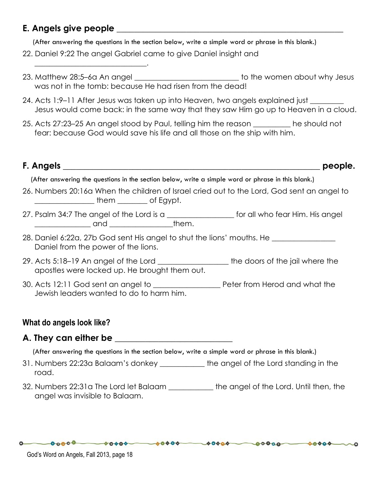#### E. Angels give people and the state of  $\mathbf{C}$

\_\_\_\_\_\_\_\_\_\_\_\_\_\_\_\_\_\_\_\_\_\_\_\_\_\_\_\_\_\_.

(After answering the questions in the section below, write a simple word or phrase in this blank.)

- 22. Daniel 9:22 The angel Gabriel came to give Daniel insight and
- 23. Matthew 28:5–6a An angel \_\_\_\_\_\_\_\_\_\_\_\_\_\_\_\_\_\_\_\_\_\_\_\_\_\_\_\_ to the women about why Jesus was not in the tomb: because He had risen from the dead!
- 24. Acts 1:9–11 After Jesus was taken up into Heaven, two angels explained just \_\_\_\_\_\_\_\_\_ Jesus would come back: in the same way that they saw Him go up to Heaven in a cloud.
- 25. Acts 27:23–25 An angel stood by Paul, telling him the reason \_\_\_\_\_\_\_\_\_\_ he should not fear: because God would save his life and all those on the ship with him.

# F. Angels \_\_\_\_\_\_\_\_\_\_\_\_\_\_\_\_\_\_\_\_\_\_\_\_\_\_\_\_\_\_\_\_\_\_\_\_\_\_\_\_\_\_\_\_\_\_\_\_\_\_\_\_\_\_\_\_\_\_\_ people.

(After answering the questions in the section below, write a simple word or phrase in this blank.)

- 26. Numbers 20:16a When the children of Israel cried out to the Lord, God sent an angel to \_\_\_\_\_\_\_\_\_\_\_\_\_\_\_\_ them \_\_\_\_\_\_\_\_ of Egypt.
- 27. Psalm 34:7 The angel of the Lord is a \_\_\_\_\_\_\_\_\_\_\_\_\_\_\_\_\_\_ for all who fear Him. His angel \_\_\_\_\_\_\_\_\_\_\_\_\_\_\_ and \_\_\_\_\_\_\_\_\_\_\_\_\_\_\_\_\_them.
- 28. Daniel 6:22a, 27b God sent His angel to shut the lions' mouths. He \_\_\_\_\_\_\_\_\_\_\_\_\_\_\_\_\_ Daniel from the power of the lions.
- 29. Acts 5:18–19 An angel of the Lord \_\_\_\_\_\_\_\_\_\_\_\_\_\_\_\_\_\_\_ the doors of the jail where the apostles were locked up. He brought them out.
- 30. Acts 12:11 God sent an angel to \_\_\_\_\_\_\_\_\_\_\_\_\_\_\_\_\_\_ Peter from Herod and what the Jewish leaders wanted to do to harm him.

## What do angels look like?

## A. They can either be **a computer**  $\mathbf{A}$  and  $\mathbf{A}$  and  $\mathbf{A}$  are  $\mathbf{A}$

(After answering the questions in the section below, write a simple word or phrase in this blank.)

- 31. Numbers 22:23a Balaam's donkey \_\_\_\_\_\_\_\_\_\_\_\_ the angel of the Lord standing in the road.
- 32. Numbers 22:31a The Lord let Balaam \_\_\_\_\_\_\_\_\_\_\_\_ the angel of the Lord. Until then, the angel was invisible to Balaam.

 $-00000 - 00000 - 00000 - 00000 - 00000$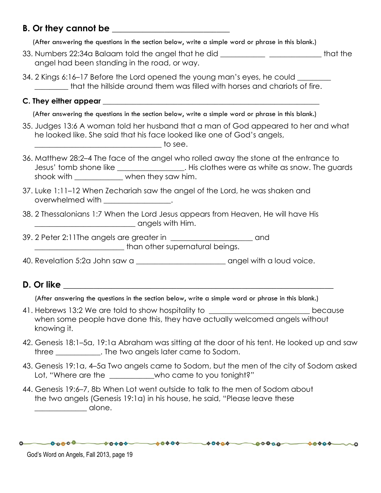#### B. Or they cannot be **with a set of the set of the set of the set of the set of the set of the set of the set o**

(After answering the questions in the section below, write a simple word or phrase in this blank.)

- 33. Numbers 22:34a Balaam told the angel that he did \_\_\_\_\_\_\_\_\_\_\_\_ \_\_\_\_\_\_\_\_\_\_\_\_\_\_ that the angel had been standing in the road, or way.
- 34. 2 Kings 6:16–17 Before the Lord opened the young man's eyes, he could \_\_\_\_\_\_\_ that the hillside around them was filled with horses and chariots of fire.
- C. They either appear and the state of the state of the state of the state of the state of the state of the state of the state of the state of the state of the state of the state of the state of the state of the state of t

(After answering the questions in the section below, write a simple word or phrase in this blank.)

- 35. Judges 13:6 A woman told her husband that a man of God appeared to her and what he looked like. She said that his face looked like one of God's angels,  $\overline{\phantom{a}}$  to see.
- 36. Matthew 28:2–4 The face of the angel who rolled away the stone at the entrance to Jesus' tomb shone like \_\_\_\_\_\_\_\_\_\_\_\_\_\_\_\_\_\_. His clothes were as white as snow. The guards shook with  $\blacksquare$  when they saw him.
- 37. Luke 1:11–12 When Zechariah saw the angel of the Lord, he was shaken and overwhelmed with \_\_\_\_\_\_\_\_\_\_\_\_\_\_\_\_\_.
- 38. 2 Thessalonians 1:7 When the Lord Jesus appears from Heaven, He will have His \_\_\_\_\_\_\_\_\_\_\_\_\_\_\_\_\_\_\_\_\_\_\_\_\_\_\_ angels with Him.
- 39. 2 Peter 2:11 The angels are greater in  $\qquad \qquad \text{and}$ than other supernatural beings.
- 40. Revelation 5:2a John saw a strategies of the same angel with a loud voice.

## D. Or like  $\Box$

(After answering the questions in the section below, write a simple word or phrase in this blank.)

- 41. Hebrews 13:2 We are told to show hospitality to \_\_\_\_\_\_\_\_\_\_\_\_\_\_\_\_\_\_\_\_\_\_\_\_\_\_\_\_\_ because when some people have done this, they have actually welcomed angels without knowing it.
- 42. Genesis 18:1–5a, 19:1a Abraham was sitting at the door of his tent. He looked up and saw three \_\_\_\_\_\_\_\_\_\_\_\_. The two angels later came to Sodom.
- 43. Genesis 19:1a, 4–5a Two angels came to Sodom, but the men of the city of Sodom asked Lot, "Where are the \_\_\_\_\_\_\_\_\_\_\_who came to you tonight?"

 $0 0 0000 - 00000 - 00000 - 00000 - 00000 - 00000 - 00000$ 

44. Genesis 19:6–7, 8b When Lot went outside to talk to the men of Sodom about the two angels (Genesis 19:1a) in his house, he said, "Please leave these \_\_\_\_\_\_\_\_\_\_\_\_\_\_ alone.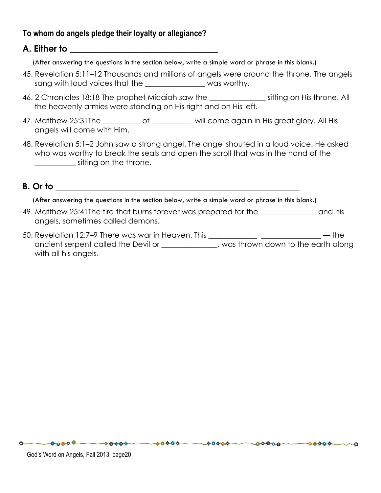#### To whom do angels pledge their loyalty or allegiance?

#### A. Either to was a set of the set of  $\mathcal{A}$

(After answering the questions in the section below, write a simple word or phrase in this blank.)

- 45. Revelation 5:11–12 Thousands and millions of angels were around the throne. The angels sang with loud voices that the \_\_\_\_\_\_\_\_\_\_\_\_\_\_\_ was worthy.
- 46. 2 Chronicles 18:18 The prophet Micaiah saw the \_\_\_\_\_\_\_\_\_\_\_\_\_\_\_\_ sitting on His throne. All the heavenly armies were standing on His right and on His left.
- 47. Matthew 25:31 The \_\_\_\_\_\_\_\_\_\_ of \_\_\_\_\_\_\_\_\_ will come again in His great glory. All His angels will come with Him.
- 48. Revelation 5:1–2 John saw a strong angel. The angel shouted in a loud voice. He asked who was worthy to break the seals and open the scroll that was in the hand of the \_\_\_\_\_\_\_\_\_\_\_ sitting on the throne.

#### $B.$  Or to  $\blacksquare$

(After answering the questions in the section below, write a simple word or phrase in this blank.)

- 49. Matthew 25:41The fire that burns forever was prepared for the \_\_\_\_\_\_\_\_\_\_\_\_\_\_\_ and his angels, sometimes called demons.
- 50. Revelation 12:7–9 There was war in Heaven. This \_\_\_\_\_\_\_\_\_\_\_\_\_ \_\_\_\_\_\_\_\_\_\_\_\_\_\_\_\_ the ancient serpent called the Devil or \_\_\_\_\_\_\_\_\_\_\_\_, was thrown down to the earth along with all his angels.

 $-0.0000 - 00000 - 00000 - 00000 - 00000 - 00000$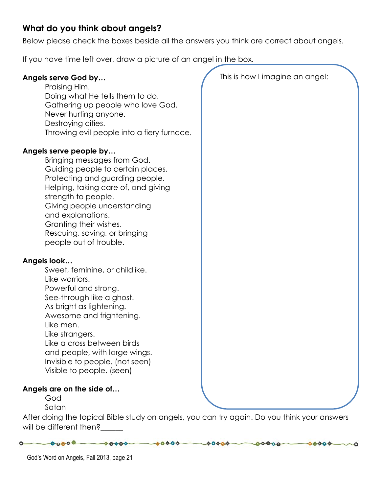## What do you think about angels?

Below please check the boxes beside all the answers you think are correct about angels.

If you have time left over, draw a picture of an angel in the box.

| Angels serve God by<br>Praising Him.<br>Doing what He tells them to do.                                     | This is how I imagine an angel: |
|-------------------------------------------------------------------------------------------------------------|---------------------------------|
| Gathering up people who love God.                                                                           |                                 |
| Never hurting anyone.                                                                                       |                                 |
| Destroying cities.                                                                                          |                                 |
| Throwing evil people into a fiery furnace.                                                                  |                                 |
| Angels serve people by                                                                                      |                                 |
| Bringing messages from God.                                                                                 |                                 |
| Guiding people to certain places.                                                                           |                                 |
| Protecting and guarding people.<br>Helping, taking care of, and giving                                      |                                 |
| strength to people.                                                                                         |                                 |
| Giving people understanding                                                                                 |                                 |
| and explanations.                                                                                           |                                 |
| Granting their wishes.                                                                                      |                                 |
| Rescuing, saving, or bringing<br>people out of trouble.                                                     |                                 |
|                                                                                                             |                                 |
| Angels look                                                                                                 |                                 |
| Sweet, feminine, or childlike.                                                                              |                                 |
| Like warriors.                                                                                              |                                 |
| Powerful and strong.<br>See-through like a ghost.                                                           |                                 |
| As bright as lightening.                                                                                    |                                 |
| Awesome and frightening.                                                                                    |                                 |
| Like men.                                                                                                   |                                 |
| Like strangers.                                                                                             |                                 |
| Like a cross between birds                                                                                  |                                 |
| and people, with large wings.<br>Invisible to people. (not seen)                                            |                                 |
| Visible to people. (seen)                                                                                   |                                 |
|                                                                                                             |                                 |
| Angels are on the side of                                                                                   |                                 |
|                                                                                                             |                                 |
|                                                                                                             |                                 |
| God<br>Satan<br>After doing the topical Bible study on angels, you can try again. Do you think your answers |                                 |

 $0 - 00000 - 00000 - 00000 - 00000 - 00000 - 00000$ 

will be different then?\_\_\_\_\_\_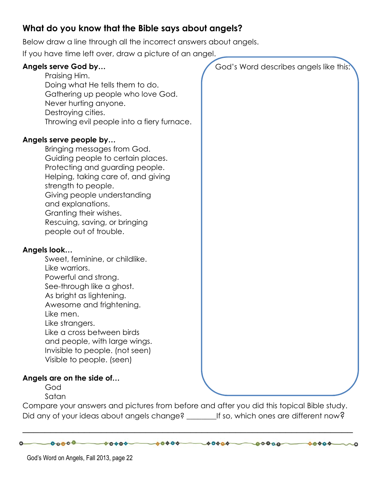## What do you know that the Bible says about angels?

Below draw a line through all the incorrect answers about angels.

If you have time left over, draw a picture of an angel.

| Angels serve God by<br>Praising Him.<br>Doing what He tells them to do.<br>Gathering up people who love God.<br>Never hurting anyone.<br>Destroying cities.<br>Throwing evil people into a fiery furnace.                                                                                                                                   | God's Word describes angels like this: |
|---------------------------------------------------------------------------------------------------------------------------------------------------------------------------------------------------------------------------------------------------------------------------------------------------------------------------------------------|----------------------------------------|
| Angels serve people by<br>Bringing messages from God.<br>Guiding people to certain places.<br>Protecting and guarding people.<br>Helping, taking care of, and giving<br>strength to people.<br>Giving people understanding<br>and explanations.<br>Granting their wishes.<br>Rescuing, saving, or bringing<br>people out of trouble.        |                                        |
| Angels look<br>Sweet, feminine, or childlike.<br>Like warriors.<br>Powerful and strong.<br>See-through like a ghost.<br>As bright as lightening.<br>Awesome and frightening.<br>Like men.<br>Like strangers.<br>Like a cross between birds<br>and people, with large wings.<br>Invisible to people. (not seen)<br>Visible to people. (seen) |                                        |
| Angels are on the side of<br>God<br>Satan                                                                                                                                                                                                                                                                                                   |                                        |

Compare your answers and pictures from before and after you did this topical Bible study. Did any of your ideas about angels change? \_\_\_\_\_\_\_\_\_If so, which ones are different now?

\_\_\_\_\_\_\_\_\_\_\_\_\_\_\_\_\_\_\_\_\_\_\_\_\_\_\_\_\_\_\_\_\_\_\_\_\_\_\_\_\_\_\_\_\_\_\_\_\_\_\_\_\_\_\_\_\_\_\_

 $0\longrightarrow 0.0000\longrightarrow 0.0000\longrightarrow 0.0000\longrightarrow 0.0000\longrightarrow 0.0000\longrightarrow 0.0000\longrightarrow 0.0000\longrightarrow 0.0000\longrightarrow 0.0000\longrightarrow 0.0000\longrightarrow 0.0000\longrightarrow 0.0000\longrightarrow 0.0000\longrightarrow 0.0000\longrightarrow 0.0000\longrightarrow 0.0000\longrightarrow 0.0000\longrightarrow 0.0000\longrightarrow 0.0000\longrightarrow 0.0000\longrightarrow 0.0000\longrightarrow 0.0000\longrightarrow 0.0000\longrightarrow 0.0000\longrightarrow$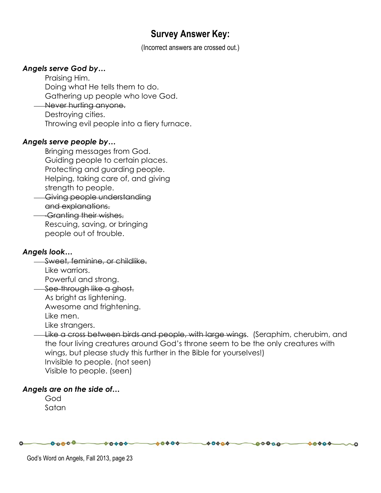# Survey Answer Key:

(Incorrect answers are crossed out.)

#### Angels serve God by…

Praising Him. Doing what He tells them to do. Gathering up people who love God. Never hurting anyone. Destroying cities. Throwing evil people into a fiery furnace.

#### Angels serve people by…

Bringing messages from God. Guiding people to certain places. Protecting and guarding people. Helping, taking care of, and giving strength to people.

Giving people understanding and explanations.

 Granting their wishes. Rescuing, saving, or bringing people out of trouble.

#### Angels look…

**Sweet, feminine, or childlike.** Like warriors. Powerful and strong. See-through like a ghost. As bright as lightening. Awesome and frightening. Like men. Like strangers.

Like a cross between birds and people, with large wings. (Seraphim, cherubim, and the four living creatures around God's throne seem to be the only creatures with wings, but please study this further in the Bible for yourselves!) Invisible to people. (not seen) Visible to people. (seen)

 $-00000$ 

 $00000$ 

 $-00000$ 

#### Angels are on the side of…

God Satan

 $-0.0000 - 00000 - 00000$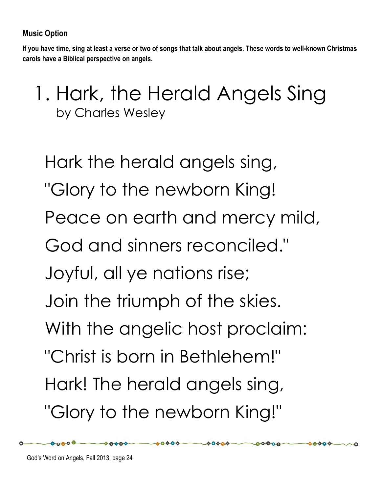If you have time, sing at least a verse or two of songs that talk about angels. These words to well-known Christmas carols have a Biblical perspective on angels.

1. Hark, the Herald Angels Sing by Charles Wesley

Hark the herald angels sing, "Glory to the newborn King! Peace on earth and mercy mild, God and sinners reconciled." Joyful, all ye nations rise; Join the triumph of the skies. With the angelic host proclaim: "Christ is born in Bethlehem!" Hark! The herald angels sing, "Glory to the newborn King!"

 $-0000$ 

 $00000 -$ 

 $00000$ 

 $00000-$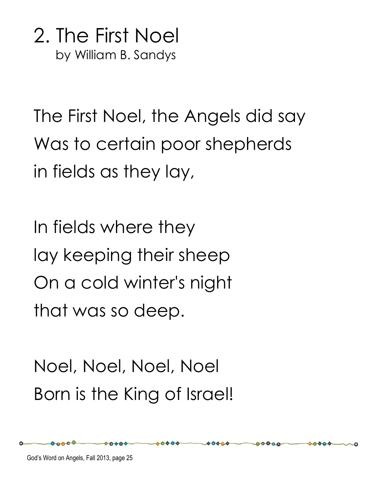2. The First Noel by William B. Sandys

The First Noel, the Angels did say Was to certain poor shepherds in fields as they lay,

In fields where they lay keeping their sheep On a cold winter's night that was so deep.

Noel, Noel, Noel, Noel Born is the King of Israel!

00000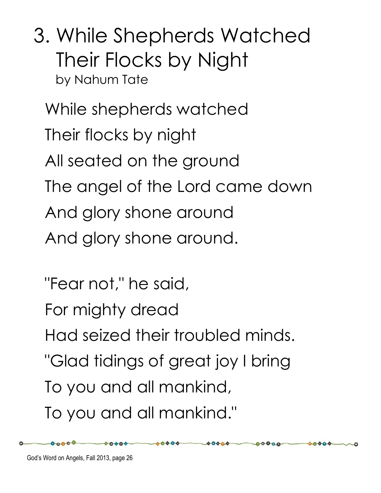3. While Shepherds Watched Their Flocks by Night by Nahum Tate

While shepherds watched Their flocks by night All seated on the ground The angel of the Lord came down And glory shone around And glory shone around.

"Fear not," he said, For mighty dread Had seized their troubled minds. "Glad tidings of great joy I bring To you and all mankind, To you and all mankind."

 $-00000$ 

 $00000 -$ 

 $00000$ 

 $00000$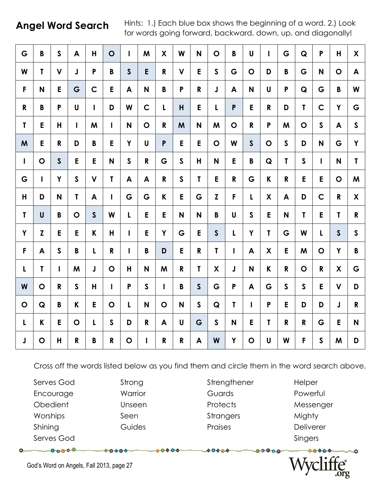Angel Word Search Hints: 1.) Each blue box shows the beginning of a word. 2.) Look for words going forward, backward, down, up, and diagonally!

| G            | B            | $\mathsf{S}$ | A            | H.           | $\mathbf O$  | $\mathbf{I}$     | M            | X            | W            | N            | $\mathbf O$  | $\mathbf B$  | $\mathsf{U}$ | $\mathbf{I}$ | G            | Q            | P            | H            | $\boldsymbol{\mathsf{X}}$ |
|--------------|--------------|--------------|--------------|--------------|--------------|------------------|--------------|--------------|--------------|--------------|--------------|--------------|--------------|--------------|--------------|--------------|--------------|--------------|---------------------------|
| W            | T.           | $\mathsf{V}$ | $\mathbf{J}$ | P            | B            | $\mathsf{S}$     | E            | $\mathsf{R}$ | $\mathbf v$  | E            | $\mathsf{S}$ | G            | $\mathbf O$  | D            | B            | G            | N            | O            | A                         |
| F            | N            | E            | G            | $\mathsf{C}$ | E            | $\blacktriangle$ | N            | B            | P            | $\mathbf R$  | J            | A            | N            | U            | P            | Q            | G            | B            | W                         |
| $\mathsf R$  | B            | P            | U            | L            | D            | W                | $\mathsf C$  | $\mathsf{L}$ | H            | E            | L            | $\mathsf{P}$ | E            | $\mathsf{R}$ | D            | T            | $\mathbf C$  | Y            | G                         |
| $\mathbf T$  | E            | H            | T            | M            | $\mathbf{I}$ | N                | $\mathbf O$  | R            | M            | N            | M            | $\mathbf O$  | ${\bf R}$    | P            | M            | $\mathbf O$  | $\mathsf{S}$ | A            | $\mathsf{S}$              |
| M            | E.           | R            | D            | B            | E            | Y                | U            | $\mathsf{P}$ | E            | E            | $\mathbf O$  | W            | $\mathsf{S}$ | $\mathbf O$  | $\mathsf{S}$ | D            | N            | G            | Y                         |
| $\mathbf{I}$ | $\mathbf O$  | $\mathsf{S}$ | E            | E            | $\mathsf{N}$ | $\mathsf{s}$     | R            | G            | $\mathsf{S}$ | H            | N            | E            | $\mathbf B$  | Q            | $\mathbf T$  | $\mathsf{S}$ | $\mathbf{I}$ | N            | $\mathbf{I}$              |
| G            | $\mathbf{I}$ | Y            | $\mathsf{S}$ | $\mathbf v$  | $\mathbf{T}$ | A                | A            | $\mathsf{R}$ | $\mathsf{S}$ | T            | E.           | R            | G            | K            | $\mathbf{R}$ | E            | E            | O            | M                         |
| H            | D            | N            | $\mathbf{I}$ | A            | $\mathbf{I}$ | G                | G            | K            | E            | G            | Z            | F            | L            | X            | A            | D            | $\mathsf{C}$ | R            | X                         |
| $\mathbf T$  | $\mathsf{U}$ | B            | $\mathbf O$  | $\mathsf{S}$ | W            | $\mathsf{L}$     | E            | E            | N            | N            | B            | U            | $\mathsf{s}$ | E            | N            | $\mathbf{T}$ | E            | T            | ${\bf R}$                 |
| Y            | Z            | E            | E            | K            | H            | $\mathbf{I}$     | E            | Y            | G            | E            | $\mathsf{S}$ | $\mathsf{L}$ | Y            | $\mathbf{I}$ | G            | W            | L            | S            | $\mathsf{S}$              |
| F            | A            | $\mathsf{S}$ | B            | L            | $\mathbf R$  | $\mathbf{I}$     | $\pmb B$     | D            | E            | R            | $\mathbf{r}$ | $\mathbf{I}$ | A            | X            | $\mathsf E$  | M            | $\mathbf O$  | Y            | $\mathbf B$               |
| $\mathsf{L}$ | $\mathbf T$  | L            | M            | $\mathsf J$  | $\mathbf O$  | H                | $\mathsf{N}$ | M            | $\mathbf{R}$ | T            | X            | J            | $\mathsf{N}$ | K            | R            | $\mathbf O$  | $\mathsf R$  | X            | G                         |
| W            | $\mathbf O$  | $\mathbf{R}$ | $\mathsf{S}$ | H            | $\mathbf{I}$ | $\mathsf{P}$     | $\mathsf{S}$ | $\mathbf{I}$ | B            | $\mathsf{S}$ | G            | P            | A            | G            | $\mathsf{S}$ | $\mathsf{S}$ | E            | $\mathsf{V}$ | D                         |
| $\mathbf O$  | Q            | B            | K            | E            | $\mathbf O$  | L                | N            | $\mathbf O$  | N            | $\mathsf{S}$ | Q            | $\mathbf{T}$ | $\mathbf{I}$ | P            | E            | D            | D            | J            | $\mathbf R$               |
| $\mathsf{L}$ | K            | E            | $\mathbf O$  | L            | $\mathsf{S}$ | D                | R            | A            | $\mathsf{U}$ | G            | $\mathsf{S}$ | N            | E            | $\mathbf{I}$ | R            | $\mathsf{R}$ | G            | E            | N                         |
| $\mathsf J$  | $\mathbf O$  | H            | $\mathsf R$  | B            | R            | $\mathbf O$      | $\mathbf{I}$ | $\mathbf R$  | $\mathbf{R}$ | A            | W            | Y            | $\mathbf O$  | U            | W            | F            | $\mathsf{S}$ | M            | D                         |

Cross off the words listed below as you find them and circle them in the word search above.

Serves God Strong Strengthener Helper Encourage **Warrior** Warrior Guards Powerful Obedient Unseen Protects Messenger Worships Seen Seen Strangers Mighty Shining Guides Praises Deliverer Serves God Serves God Singers (Serves God Singers Singers Singers Singers Singers Singers Singers Singers Singers

 $00000$ 

00000

00000

 $00000$ 

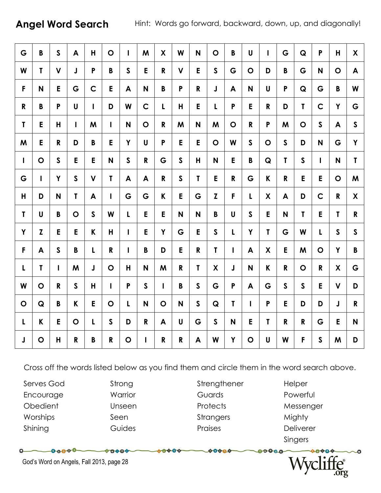Angel Word Search Hint: Words go forward, backward, down, up, and diagonally!

| G            | B            | $\mathsf{S}$ | A            | H            | $\mathbf O$  | $\mathbf{I}$ | M            | X            | W            | N            | $\mathbf O$  | B            | U            | $\mathbf{I}$              | G            | Q            | P            | H            | $\boldsymbol{\mathsf{X}}$ |
|--------------|--------------|--------------|--------------|--------------|--------------|--------------|--------------|--------------|--------------|--------------|--------------|--------------|--------------|---------------------------|--------------|--------------|--------------|--------------|---------------------------|
| W            | T            | $\mathsf{V}$ | J            | P            | B            | $\mathsf{S}$ | E            | R            | $\mathbf v$  | E            | $\mathsf{S}$ | G            | $\mathbf O$  | D                         | B            | G            | N            | $\mathbf O$  | $\blacktriangle$          |
| F            | N            | E            | G            | $\mathbf C$  | E            | A            | N            | B            | P            | $\mathsf{R}$ | J            | A            | N            | U                         | P            | Q            | G            | B            | W                         |
| R            | B            | P            | $\mathsf{U}$ | $\mathbf{I}$ | D            | W            | $\mathsf{C}$ | $\mathbf{L}$ | $\mathsf{H}$ | E            | L            | $\mathsf{P}$ | E            | R                         | D            | T            | $\mathsf{C}$ | Y            | G                         |
| $\mathbf{I}$ | E            | H            | I            | M            | $\mathbf{I}$ | N            | $\mathbf O$  | R            | M            | N            | M            | $\mathbf O$  | $\mathbf R$  | P                         | M            | $\mathbf O$  | $\mathsf{S}$ | A            | $\mathsf{S}$              |
| M            | E            | R            | D            | B            | E            | Y            | U            | P            | E            | E            | $\mathbf O$  | W            | $\mathsf{s}$ | $\mathbf O$               | $\mathsf{S}$ | D            | N            | G            | Y                         |
| $\mathbf{I}$ | $\mathbf O$  | $\mathsf{S}$ | E            | E            | $\mathsf{N}$ | $\mathsf{S}$ | $\mathsf R$  | G            | $\mathsf{S}$ | H            | N            | E            | $\pmb B$     | Q                         | T            | $\mathsf{S}$ | Т            | N            | T                         |
| G            | L            | Y            | $\mathsf{S}$ | $\mathbf V$  | $\mathbf{I}$ | A            | A            | $\mathsf R$  | $\mathsf{S}$ | $\mathbf{T}$ | E            | $\mathbf R$  | G            | K                         | $\mathsf R$  | E            | E            | $\mathbf O$  | M                         |
| H            | D            | N            | T            | A            | $\mathbf{I}$ | G            | G            | K            | E            | G            | Z            | F            | L            | X                         | A            | D            | $\mathsf{C}$ | R            | X                         |
| T            | U            | B            | $\mathbf O$  | $\mathsf{S}$ | W            | L            | E            | E            | N            | N            | B            | $\mathbf U$  | $\mathsf{s}$ | E                         | N            | T            | E            | T            | $\mathbf{R}$              |
| Y            | Z            | E            | E            | K            | H            | $\mathsf{I}$ | E            | Y            | G            | E            | $\mathsf{S}$ | L            | Y            | $\mathbf{I}$              | G            | W            | L            | $\mathsf{S}$ | $\mathsf{S}$              |
| F            | A            | $\mathsf{S}$ | B            | L            | $\mathbf R$  | $\mathbf{I}$ | B            | D            | E            | $\mathsf{R}$ | $\mathsf{T}$ | T            | A            | X                         | E            | M            | $\mathbf O$  | Y            | $\mathbf B$               |
| L            | $\mathbf{I}$ | L            | M            | J            | $\mathbf O$  | $\mathsf{H}$ | N            | M            | $\mathsf{R}$ | $\mathbf{I}$ | X            | J            | N            | $\boldsymbol{\mathsf{K}}$ | $\mathsf{R}$ | $\mathbf O$  | R            | X            | G                         |
| W            | $\mathbf O$  | $\mathbf R$  | $\mathsf{S}$ | H            | $\mathbf{I}$ | $\mathsf{P}$ | $\mathsf{s}$ | L            | B            | $\mathsf{S}$ | G            | $\mathsf{P}$ | A            | G                         | $\mathsf{S}$ | $\mathsf{S}$ | E            | $\mathbf V$  | D                         |
| $\mathbf O$  | Q            | B            | K            | E            | $\mathbf O$  | L            | N            | $\mathbf O$  | N            | $\mathsf{S}$ | Q            | $\mathbf{T}$ | $\mathbf{I}$ | P                         | E            | D            | D            | J            | $\mathbf R$               |
| $\mathbf{L}$ | K            | E            | $\mathbf O$  | L            | $\mathsf{S}$ | D            | R            | A            | U            | G            | $\mathsf{S}$ | N            | E            | T                         | R            | R            | G            | E            | N                         |
| J            | $\mathbf O$  | H            | $\mathsf R$  | B            | $\mathbf R$  | $\mathbf O$  | $\mathbf{I}$ | $\mathbf R$  | $\mathbf{R}$ | A            | W            | Y            | $\mathbf O$  | U                         | W            | F.           | $\mathsf{S}$ | M            | D                         |

Cross off the words listed below as you find them and circle them in the word search above.

0000

Serves God Strong Strengthener Helper Encourage **Warrior** Warrior Guards Powerful Obedient Unseen Protects Messenger Worships Seen Seen Strangers Mighty

 $\sim$ 

00000

Shining Guides Praises Deliverer

 $00000$ 

Singers

 $00000$ 



God's Word on Angels, Fall 2013, page 28

 $-00000$